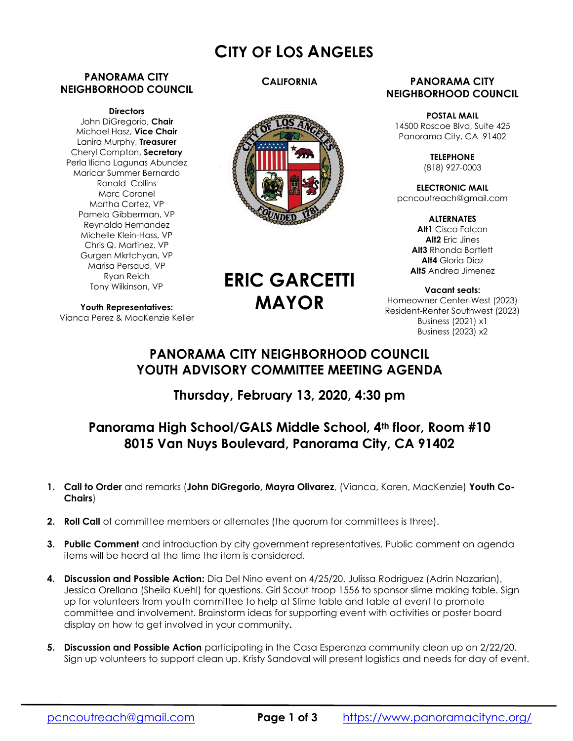# CITY OF LOS ANGELES

## PANORAMA CITY NEIGHBORHOOD COUNCIL

#### **Directors**

John DiGregorio, Chair Michael Hasz, Vice Chair Lanira Murphy, Treasurer Cheryl Compton, Secretary Perla Iliana Lagunas Abundez Maricar Summer Bernardo Ronald Collins Marc Coronel Martha Cortez, VP Pamela Gibberman, VP Reynaldo Hernandez Michelle Klein-Hass, VP Chris Q. Martinez, VP Gurgen Mkrtchyan, VP Marisa Persaud, VP Ryan Reich Tony Wilkinson, VP

Youth Representatives: Vianca Perez & MacKenzie Keller

## **CALIFORNIA**



### PANORAMA CITY NEIGHBORHOOD COUNCIL

POSTAL MAIL 14500 Roscoe Blvd, Suite 425 Panorama City, CA 91402

> **TELEPHONE** (818) 927-0003

ELECTRONIC MAIL pcncoutreach@gmail.com

> **ALTERNATES** Alt1 Cisco Falcon Alt2 Eric Jines Alt<sub>3</sub> Rhonda Bartlett Alt4 Gloria Diaz Alt5 Andrea Jimenez

Vacant seats: Homeowner Center-West (2023) Resident-Renter Southwest (2023) Business (2021) x1 Business (2023) x2

# PANORAMA CITY NEIGHBORHOOD COUNCIL

ERIC GARCETTI

MAYOR

## YOUTH ADVISORY COMMITTEE MEETING AGENDA

## Thursday, February 13, 2020, 4:30 pm

## Panorama High School/GALS Middle School, 4<sup>th</sup> floor, Room #10 8015 Van Nuys Boulevard, Panorama City, CA 91402

- 1. Call to Order and remarks (John DiGregorio, Mayra Olivarez, (Vianca, Karen, MacKenzie) Youth Co-Chairs)
- 2. Roll Call of committee members or alternates (the quorum for committees is three).
- 3. Public Comment and introduction by city government representatives. Public comment on agenda items will be heard at the time the item is considered.
- 4. Discussion and Possible Action: Dia Del Nino event on 4/25/20. Julissa Rodriguez (Adrin Nazarian), Jessica Orellana (Sheila Kuehl) for questions. Girl Scout troop 1556 to sponsor slime making table. Sign up for volunteers from youth committee to help at Slime table and table at event to promote committee and involvement. Brainstorm ideas for supporting event with activities or poster board display on how to get involved in your community.
- 5. Discussion and Possible Action participating in the Casa Esperanza community clean up on 2/22/20. Sign up volunteers to support clean up. Kristy Sandoval will present logistics and needs for day of event.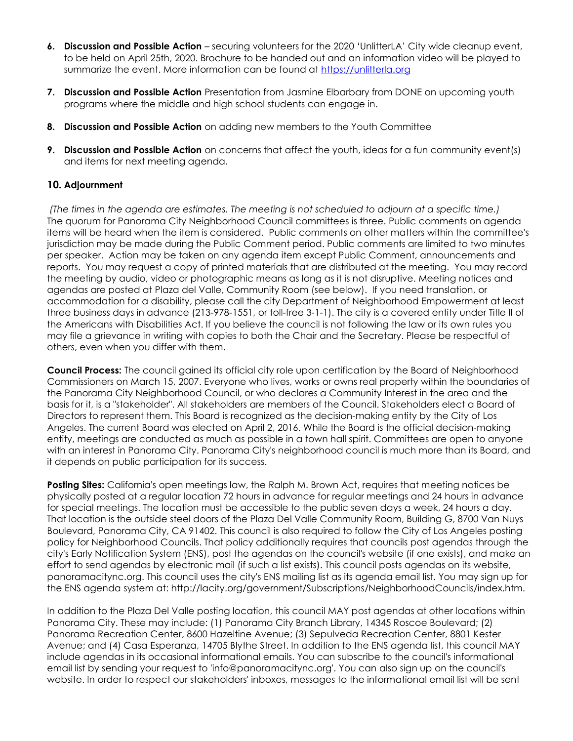- 6. Discussion and Possible Action securing volunteers for the 2020 'UnlitterLA' City wide cleanup event, to be held on April 25th, 2020. Brochure to be handed out and an information video will be played to summarize the event. More information can be found at https://unlitterla.org
- 7. Discussion and Possible Action Presentation from Jasmine Elbarbary from DONE on upcoming youth programs where the middle and high school students can engage in.
- 8. Discussion and Possible Action on adding new members to the Youth Committee
- 9. Discussion and Possible Action on concerns that affect the youth, ideas for a fun community event(s) and items for next meeting agenda.

### 10. Adjournment

 (The times in the agenda are estimates. The meeting is not scheduled to adjourn at a specific time.) The quorum for Panorama City Neighborhood Council committees is three. Public comments on agenda items will be heard when the item is considered. Public comments on other matters within the committee's jurisdiction may be made during the Public Comment period. Public comments are limited to two minutes per speaker. Action may be taken on any agenda item except Public Comment, announcements and reports. You may request a copy of printed materials that are distributed at the meeting. You may record the meeting by audio, video or photographic means as long as it is not disruptive. Meeting notices and agendas are posted at Plaza del Valle, Community Room (see below). If you need translation, or accommodation for a disability, please call the city Department of Neighborhood Empowerment at least three business days in advance (213-978-1551, or toll-free 3-1-1). The city is a covered entity under Title II of the Americans with Disabilities Act. If you believe the council is not following the law or its own rules you may file a grievance in writing with copies to both the Chair and the Secretary. Please be respectful of others, even when you differ with them.

**Council Process:** The council gained its official city role upon certification by the Board of Neighborhood Commissioners on March 15, 2007. Everyone who lives, works or owns real property within the boundaries of the Panorama City Neighborhood Council, or who declares a Community Interest in the area and the basis for it, is a "stakeholder". All stakeholders are members of the Council. Stakeholders elect a Board of Directors to represent them. This Board is recognized as the decision-making entity by the City of Los Angeles. The current Board was elected on April 2, 2016. While the Board is the official decision-making entity, meetings are conducted as much as possible in a town hall spirit. Committees are open to anyone with an interest in Panorama City. Panorama City's neighborhood council is much more than its Board, and it depends on public participation for its success.

Posting Sites: California's open meetings law, the Ralph M. Brown Act, requires that meeting notices be physically posted at a regular location 72 hours in advance for regular meetings and 24 hours in advance for special meetings. The location must be accessible to the public seven days a week, 24 hours a day. That location is the outside steel doors of the Plaza Del Valle Community Room, Building G, 8700 Van Nuys Boulevard, Panorama City, CA 91402. This council is also required to follow the City of Los Angeles posting policy for Neighborhood Councils. That policy additionally requires that councils post agendas through the city's Early Notification System (ENS), post the agendas on the council's website (if one exists), and make an effort to send agendas by electronic mail (if such a list exists). This council posts agendas on its website, panoramacitync.org. This council uses the city's ENS mailing list as its agenda email list. You may sign up for the ENS agenda system at: http://lacity.org/government/Subscriptions/NeighborhoodCouncils/index.htm.

In addition to the Plaza Del Valle posting location, this council MAY post agendas at other locations within Panorama City. These may include: (1) Panorama City Branch Library, 14345 Roscoe Boulevard; (2) Panorama Recreation Center, 8600 Hazeltine Avenue; (3) Sepulveda Recreation Center, 8801 Kester Avenue; and (4) Casa Esperanza, 14705 Blythe Street. In addition to the ENS agenda list, this council MAY include agendas in its occasional informational emails. You can subscribe to the council's informational email list by sending your request to 'info@panoramacitync.org'. You can also sign up on the council's website. In order to respect our stakeholders' inboxes, messages to the informational email list will be sent